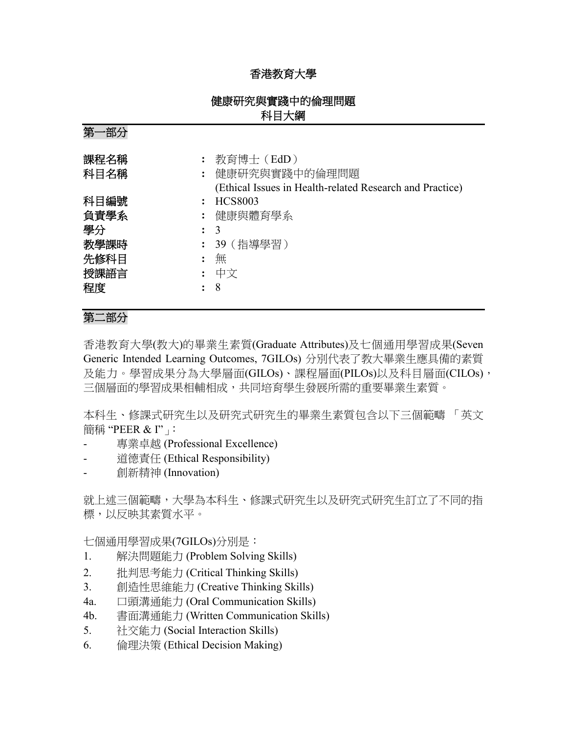## 香港教育大學

## 健康研究與實踐中的倫理問題 科目大綱

第一部分

| 課程名稱 | 教育博士 (EdD)                                               |
|------|----------------------------------------------------------|
| 科目名稱 | : 健康研究與實踐中的倫理問題                                          |
|      | (Ethical Issues in Health-related Research and Practice) |
| 科目編號 | HCS8003                                                  |
| 負責學系 | : 健康與體育學系                                                |
| 學分   | $\colon$ 3                                               |
| 教學課時 | : 39(指導學習)                                               |
| 先修科目 | 無                                                        |
| 授課語言 | : 中文                                                     |
| 程度   | - 8                                                      |
|      |                                                          |

# 第二部分

香港教育大學(教大)的畢業生素質(Graduate Attributes)及七個通用學習成果(Seven Generic Intended Learning Outcomes, 7GILOs) 分別代表了教大畢業生應具備的素質 及能力。學習成果分為大學層面(GILOs)、課程層面(PILOs)以及科目層面(CILOs), 三個層面的學習成果相輔相成,共同培育學生發展所需的重要畢業生素質。

本科生、修課式研究生以及研究式研究生的畢業生素質包含以下三個範疇 「英文 簡稱 "PEER & I"」:

- 專業卓越 (Professional Excellence)
- 道德責任 (Ethical Responsibility)
- 創新精神 (Innovation)

就上述三個範疇,大學為本科生、修課式研究生以及研究式研究生訂立了不同的指 標,以反映其素質水平。

七個通用學習成果(7GILOs)分別是:

- 1. 解決問題能力 (Problem Solving Skills)
- 2. 批判思考能力 (Critical Thinking Skills)
- 3. 創造性思維能力 (Creative Thinking Skills)
- 4a. 口頭溝通能力 (Oral Communication Skills)
- 4b. 書面溝通能力 (Written Communication Skills)
- 5. 社交能力 (Social Interaction Skills)
- 6. 倫理決策 (Ethical Decision Making)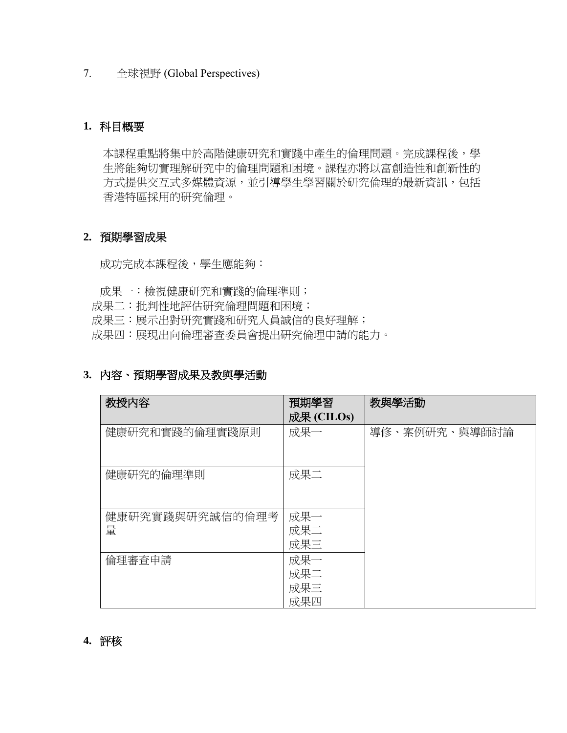7. 全球視野 (Global Perspectives)

### **1.** 科目概要

本課程重點將集中於高階健康研究和實踐中產生的倫理問題。完成課程後,學 生將能夠切實理解研究中的倫理問題和困境。課程亦將以富創造性和創新性的 方式提供交互式多媒體資源,並引導學生學習關於研究倫理的最新資訊,包括 香港特區採用的研究倫理。

### **2.** 預期學習成果

成功完成本課程後,學生應能夠:

- 成果一:檢視健康研究和實踐的倫理準則;
- 成果二:批判性地評估研究倫理問題和困境;
- 成果三:展示出對研究實踐和研究人員誠信的良好理解;
- 成果四:展現出向倫理審查委員會提出研究倫理申請的能力。

#### **3.** 內容、預期學習成果及教與學活動

| 教授内容                 | 預期學習<br>成果 (CILOs)       | 教與學活動         |
|----------------------|--------------------------|---------------|
| 健康研究和實踐的倫理實踐原則       | 成果一                      | 導修、案例研究、與導師討論 |
| 健康研究的倫理準則            | 成果二                      |               |
| 健康研究實踐與研究誠信的倫理考<br>量 | 成果一<br>成果二<br>成果三        |               |
| 倫理審查申請               | 成果一<br>成果二<br>成果三<br>成果四 |               |

#### **4.** 評核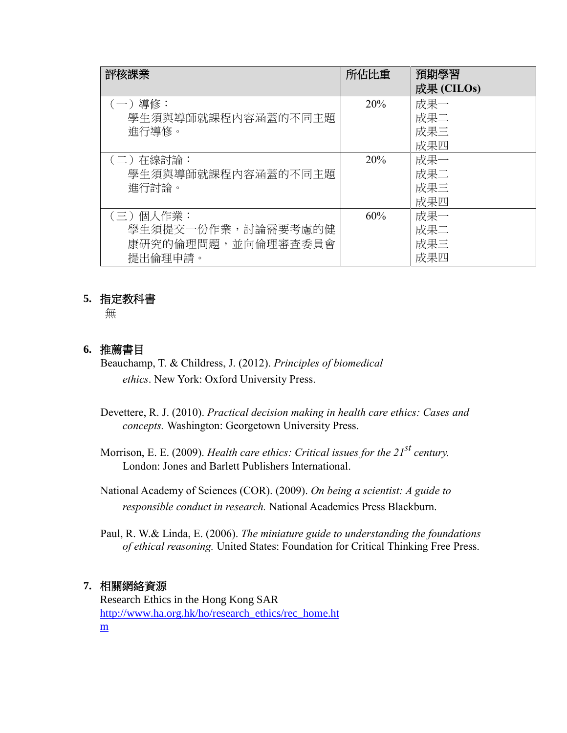| 評核課業               | 所佔比重 | 預期學習       |
|--------------------|------|------------|
|                    |      | 成果 (CILOs) |
| (一)導修:             | 20%  | 成果一        |
| 學生須與導師就課程內容涵蓋的不同主題 |      | 成果二        |
| 進行導修。              |      | 成果三        |
|                    |      | 成果四        |
| (二)在線討論:           | 20%  | 成果一        |
| 學生須與導師就課程內容涵蓋的不同主題 |      | 成果二        |
| 進行討論。              |      | 成果三        |
|                    |      | 成果四        |
| (三)個人作業:           | 60%  | 成果一        |
| 學生須提交一份作業,討論需要考慮的健 |      | 成果二        |
| 康研究的倫理問題,並向倫理審查委員會 |      | 成果三        |
| 提出倫理申請。            |      | 成果四        |

### **5.** 指定教科書

無

### **6.** 推薦書目

Beauchamp, T. & Childress, J. (2012). *Principles of biomedical ethics*. New York: Oxford University Press.

Devettere, R. J. (2010). *Practical decision making in health care ethics: Cases and concepts.* Washington: Georgetown University Press.

Morrison, E. E. (2009). *Health care ethics: Critical issues for the 21st century.* London: Jones and Barlett Publishers International.

National Academy of Sciences (COR). (2009). *On being a scientist: A guide to responsible conduct in research.* National Academies Press Blackburn.

Paul, R. W.& Linda, E. (2006). *The miniature guide to understanding the foundations of ethical reasoning.* United States: Foundation for Critical Thinking Free Press.

### **7.** 相關網絡資源

Research Ethics in the Hong Kong SAR [http://www.ha.org.hk/ho/research\\_ethics/rec\\_home.ht](http://www.ha.org.hk/ho/research_ethics/rec_home.htm) [m](http://www.ha.org.hk/ho/research_ethics/rec_home.htm)